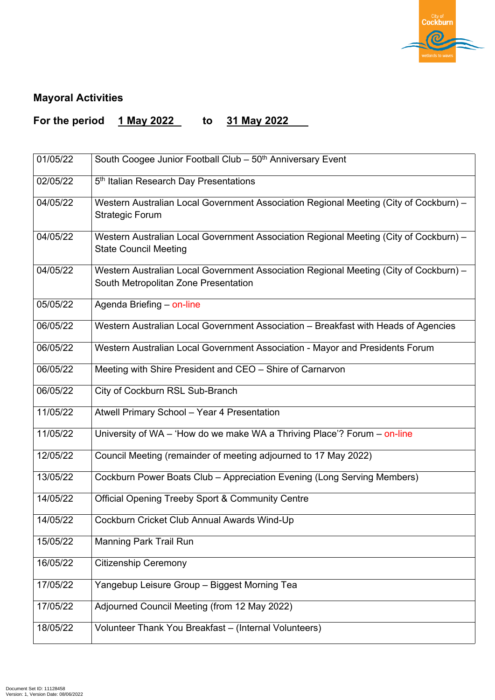

## **Mayoral Activities**

## **For the period 1 May 2022 to 31 May 2022**

| 01/05/22 | South Coogee Junior Football Club - 50 <sup>th</sup> Anniversary Event                                                        |
|----------|-------------------------------------------------------------------------------------------------------------------------------|
| 02/05/22 | 5 <sup>th</sup> Italian Research Day Presentations                                                                            |
| 04/05/22 | Western Australian Local Government Association Regional Meeting (City of Cockburn) –<br><b>Strategic Forum</b>               |
| 04/05/22 | Western Australian Local Government Association Regional Meeting (City of Cockburn) –<br><b>State Council Meeting</b>         |
| 04/05/22 | Western Australian Local Government Association Regional Meeting (City of Cockburn) –<br>South Metropolitan Zone Presentation |
| 05/05/22 | Agenda Briefing – on-line                                                                                                     |
| 06/05/22 | Western Australian Local Government Association – Breakfast with Heads of Agencies                                            |
| 06/05/22 | Western Australian Local Government Association - Mayor and Presidents Forum                                                  |
| 06/05/22 | Meeting with Shire President and CEO – Shire of Carnarvon                                                                     |
| 06/05/22 | City of Cockburn RSL Sub-Branch                                                                                               |
| 11/05/22 | Atwell Primary School - Year 4 Presentation                                                                                   |
| 11/05/22 | University of $WA - 'How$ do we make WA a Thriving Place'? Forum $-$ on-line                                                  |
| 12/05/22 | Council Meeting (remainder of meeting adjourned to 17 May 2022)                                                               |
| 13/05/22 | Cockburn Power Boats Club – Appreciation Evening (Long Serving Members)                                                       |
| 14/05/22 | <b>Official Opening Treeby Sport &amp; Community Centre</b>                                                                   |
| 14/05/22 | Cockburn Cricket Club Annual Awards Wind-Up                                                                                   |

| 15/05/22 | <b>Manning Park Trail Run</b>                         |
|----------|-------------------------------------------------------|
| 16/05/22 | <b>Citizenship Ceremony</b>                           |
| 17/05/22 | Yangebup Leisure Group – Biggest Morning Tea          |
| 17/05/22 | Adjourned Council Meeting (from 12 May 2022)          |
| 18/05/22 | Volunteer Thank You Breakfast – (Internal Volunteers) |